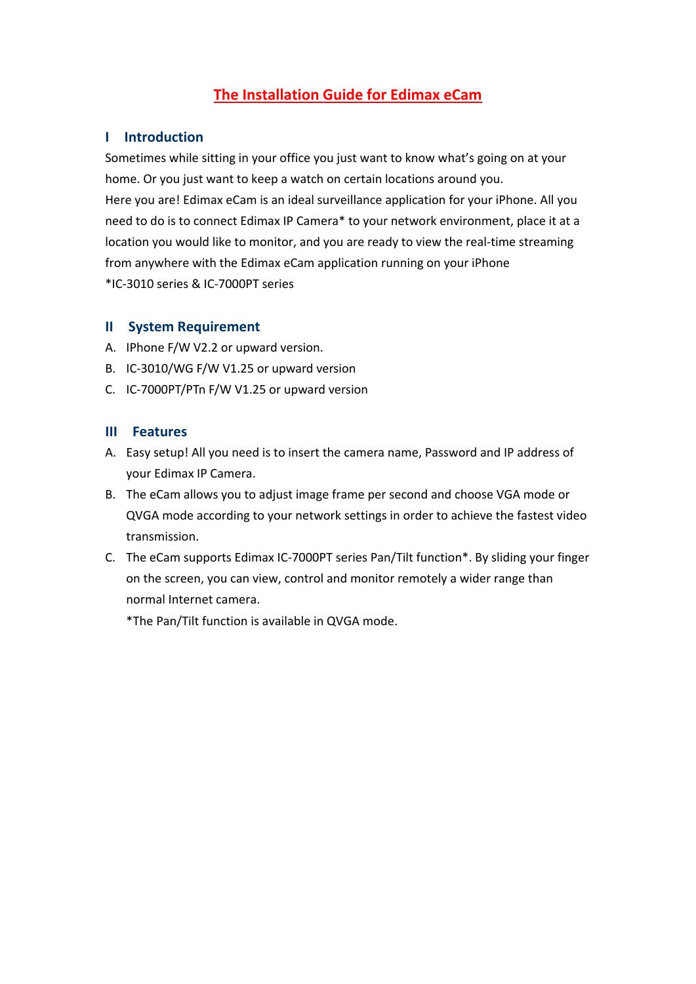# **The Installation Guide for Edimax eCam**

## **I Introduction**

Sometimes while sitting in your office you just want to know what's going on at your home. Or you just want to keep a watch on certain locations around you.

Here you are! Edimax eCam is an ideal surveillance application for your iPhone. All you need to do is to connect Edimax IP Camera\* to your network environment, place it at a location you would like to monitor, and you are ready to view the real-time streaming from anywhere with the Edimax eCam application running on your iPhone \*IC‐3010 series & IC‐7000PT series

### **II System Requirement**

- A. IPhone F/W V2.2 or upward version.
- B. IC‐3010/WG F/W V1.25 or upward version
- C. IC‐7000PT/PTn F/W V1.25 or upward version

### **III Features**

- A. Easy setup! All you need is to insert the camera name, Password and IP address of your Edimax IP Camera.
- B. The eCam allows you to adjust image frame per second and choose VGA mode or QVGA mode according to your network settings in order to achieve the fastest video transmission.
- C. The eCam supports Edimax IC‐7000PT series Pan/Tilt function\*. By sliding your finger on the screen, you can view, control and monitor remotely a wider range than normal Internet camera.

\*The Pan/Tilt function is available in QVGA mode.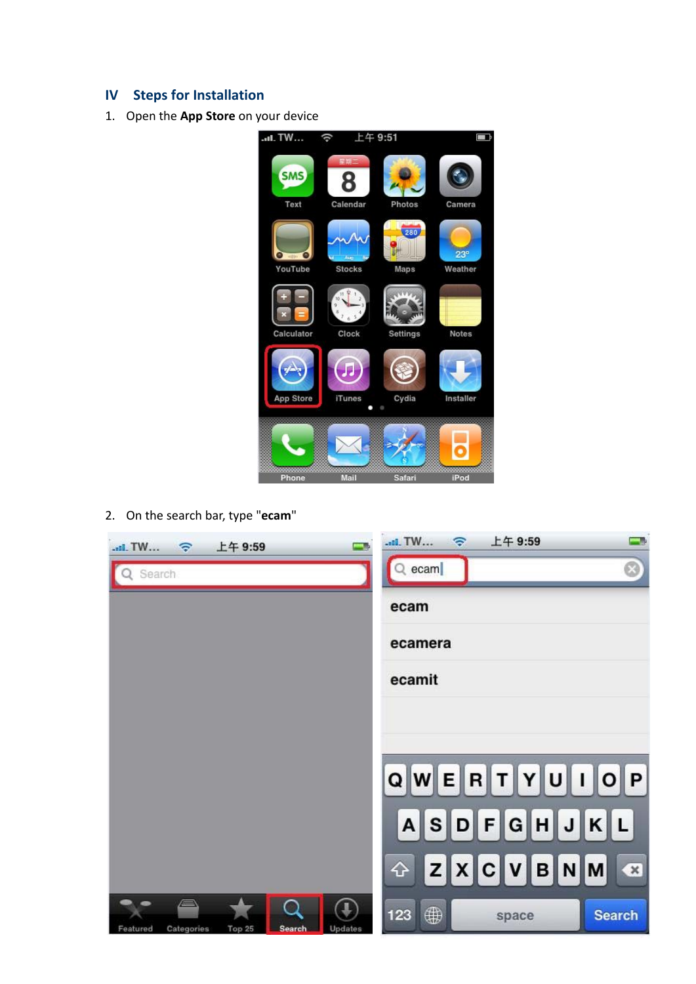## **IV Steps for Installation**

1. Open the **App Store** on your device



2. On the search bar, type "**ecam**"

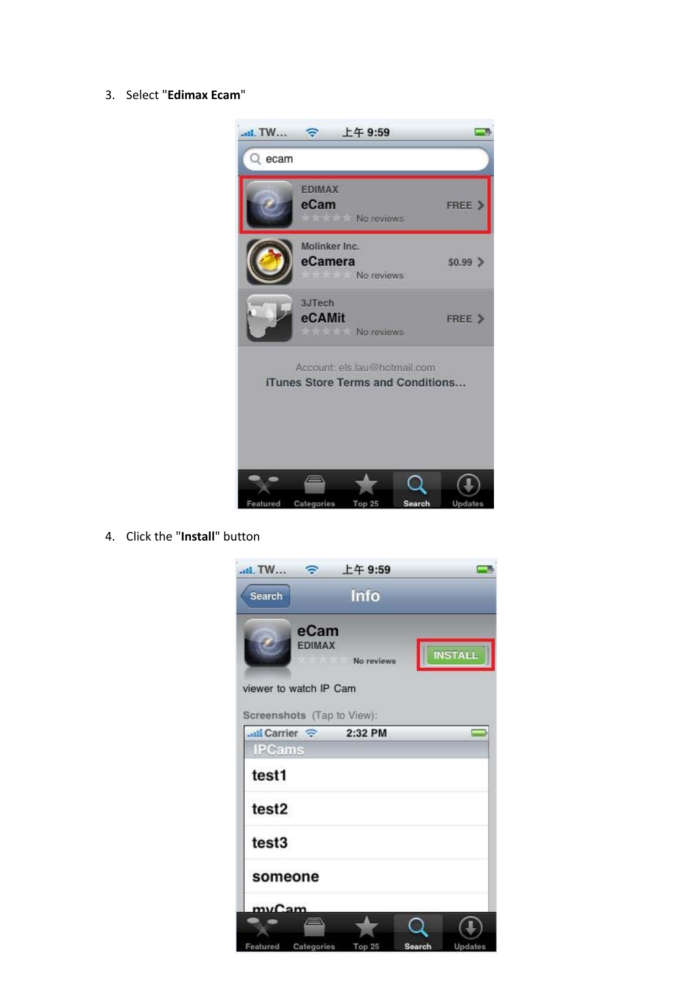#### 3. Select "Edimax Ecam"



4. Click the "Install" button